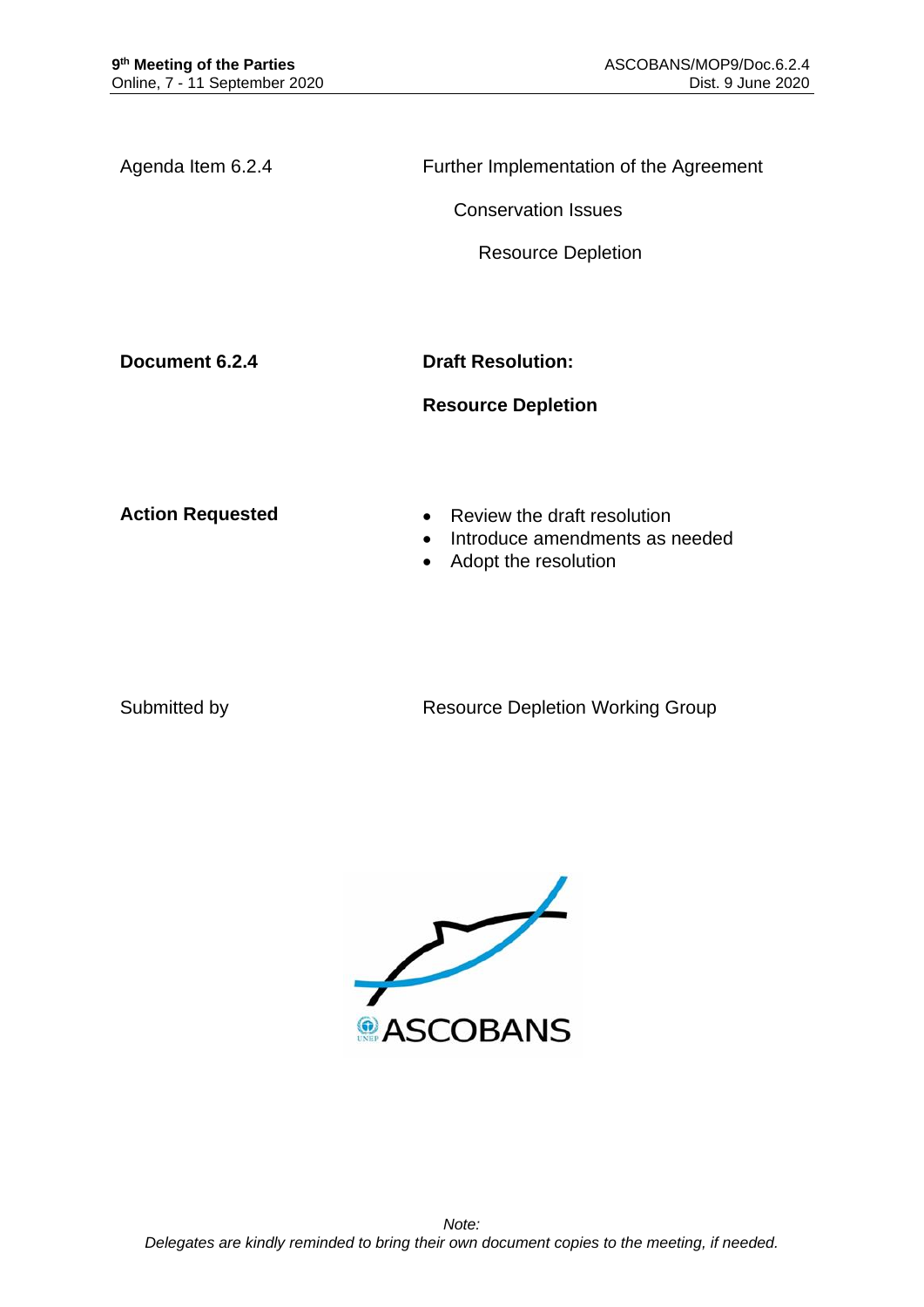Agenda Item 6.2.4 Further Implementation of the Agreement

Conservation Issues

Resource Depletion

**Document 6.2.4 Draft Resolution:** 

## **Resource Depletion**

- **Action Requested Review the draft resolution** 
	- Introduce amendments as needed
	- Adopt the resolution

Submitted by **Resource Depletion Working Group** 

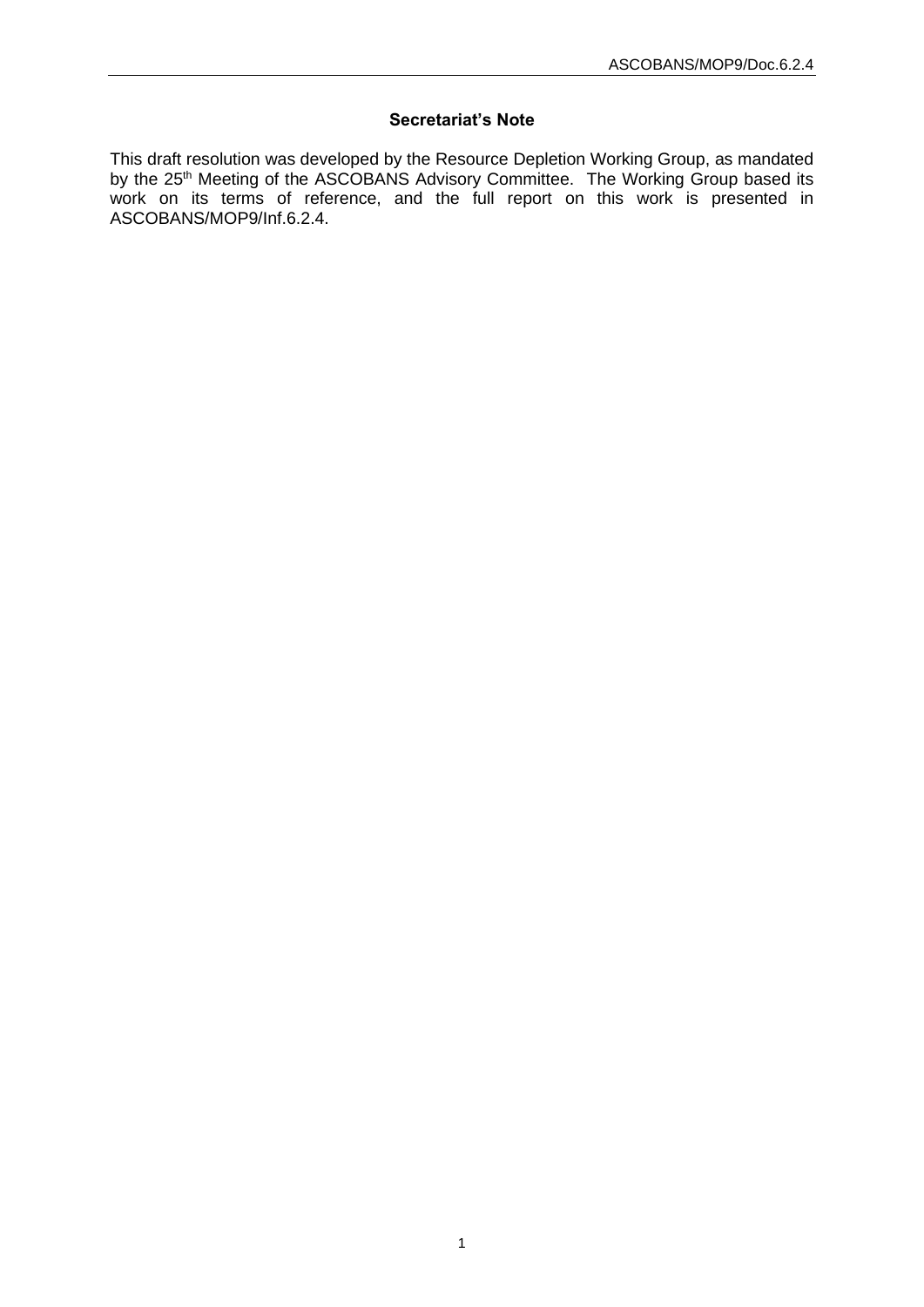## **Secretariat's Note**

This draft resolution was developed by the Resource Depletion Working Group, as mandated by the 25<sup>th</sup> Meeting of the ASCOBANS Advisory Committee. The Working Group based its work on its terms of reference, and the full report on this work is presented in ASCOBANS/MOP9/Inf.6.2.4.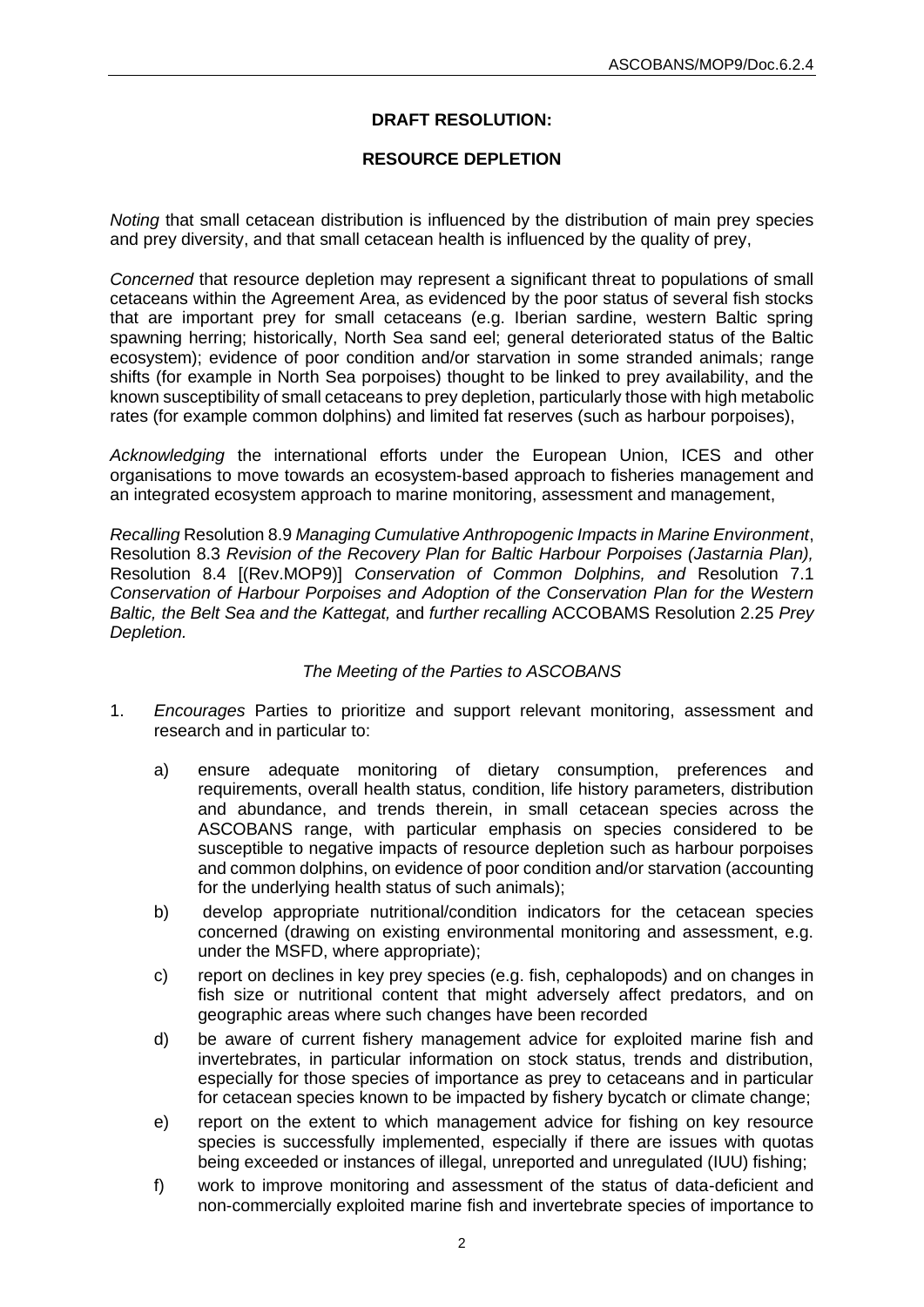# **DRAFT RESOLUTION:**

## **RESOURCE DEPLETION**

*Noting* that small cetacean distribution is influenced by the distribution of main prey species and prey diversity, and that small cetacean health is influenced by the quality of prey,

*Concerned* that resource depletion may represent a significant threat to populations of small cetaceans within the Agreement Area, as evidenced by the poor status of several fish stocks that are important prey for small cetaceans (e.g. Iberian sardine, western Baltic spring spawning herring; historically, North Sea sand eel; general deteriorated status of the Baltic ecosystem); evidence of poor condition and/or starvation in some stranded animals; range shifts (for example in North Sea porpoises) thought to be linked to prey availability, and the known susceptibility of small cetaceans to prey depletion, particularly those with high metabolic rates (for example common dolphins) and limited fat reserves (such as harbour porpoises),

*Acknowledging* the international efforts under the European Union, ICES and other organisations to move towards an ecosystem-based approach to fisheries management and an integrated ecosystem approach to marine monitoring, assessment and management,

*Recalling* Resolution 8.9 *Managing Cumulative Anthropogenic Impacts in Marine Environment*, Resolution 8.3 *Revision of the Recovery Plan for Baltic Harbour Porpoises (Jastarnia Plan),*  Resolution 8.4 [(Rev.MOP9)] *Conservation of Common Dolphins, and* Resolution 7.1 *Conservation of Harbour Porpoises and Adoption of the Conservation Plan for the Western Baltic, the Belt Sea and the Kattegat,* and *further recalling* ACCOBAMS Resolution 2.25 *Prey Depletion.*

### *The Meeting of the Parties to ASCOBANS*

- 1. *Encourages* Parties to prioritize and support relevant monitoring, assessment and research and in particular to:
	- a) ensure adequate monitoring of dietary consumption, preferences and requirements, overall health status, condition, life history parameters, distribution and abundance, and trends therein, in small cetacean species across the ASCOBANS range, with particular emphasis on species considered to be susceptible to negative impacts of resource depletion such as harbour porpoises and common dolphins, on evidence of poor condition and/or starvation (accounting for the underlying health status of such animals);
	- b) develop appropriate nutritional/condition indicators for the cetacean species concerned (drawing on existing environmental monitoring and assessment, e.g. under the MSFD, where appropriate);
	- c) report on declines in key prey species (e.g. fish, cephalopods) and on changes in fish size or nutritional content that might adversely affect predators, and on geographic areas where such changes have been recorded
	- d) be aware of current fishery management advice for exploited marine fish and invertebrates, in particular information on stock status, trends and distribution, especially for those species of importance as prey to cetaceans and in particular for cetacean species known to be impacted by fishery bycatch or climate change;
	- e) report on the extent to which management advice for fishing on key resource species is successfully implemented, especially if there are issues with quotas being exceeded or instances of illegal, unreported and unregulated (IUU) fishing;
	- f) work to improve monitoring and assessment of the status of data-deficient and non-commercially exploited marine fish and invertebrate species of importance to